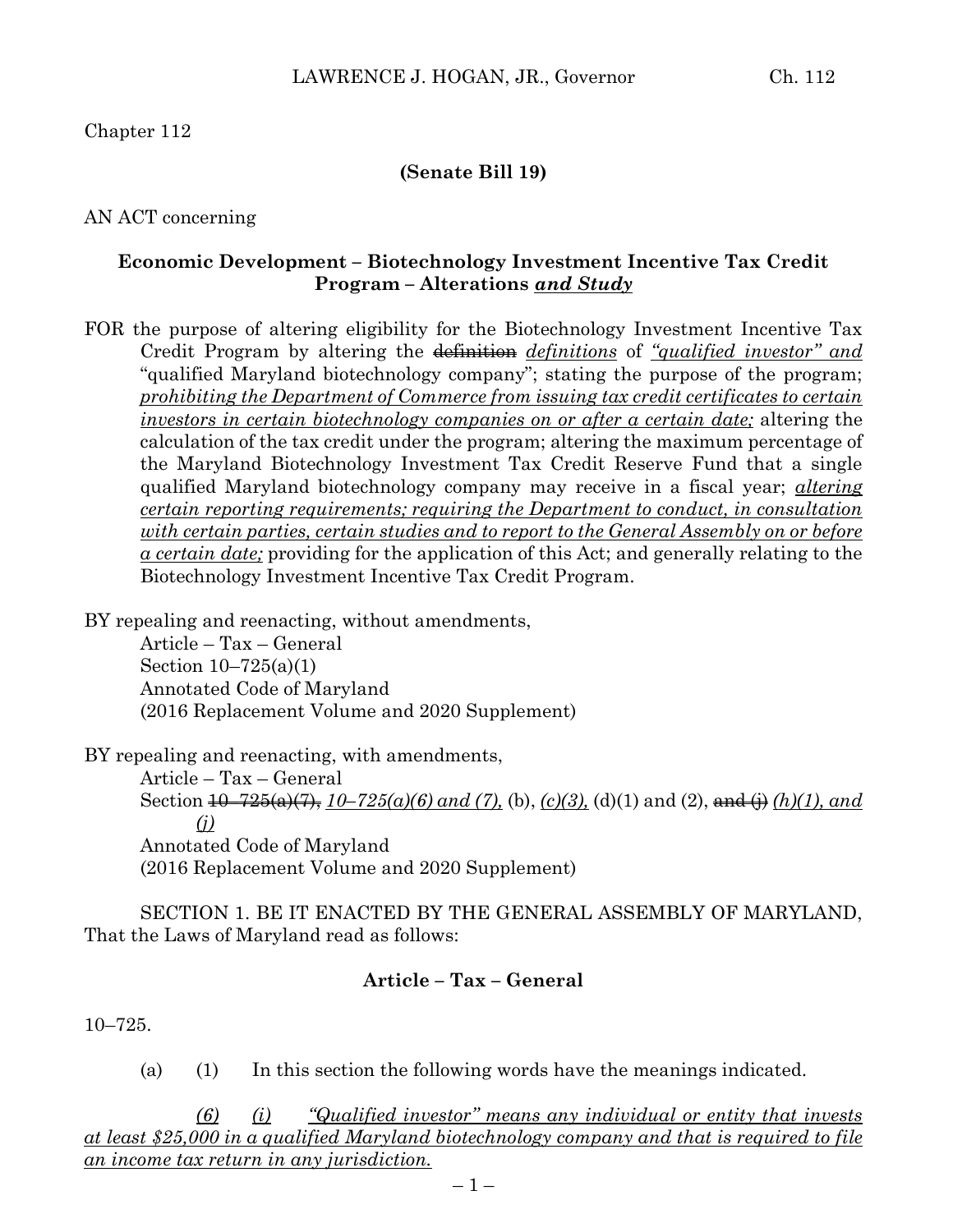# Chapter 112

## **(Senate Bill 19)**

AN ACT concerning

## **Economic Development – Biotechnology Investment Incentive Tax Credit Program – Alterations** *and Study*

FOR the purpose of altering eligibility for the Biotechnology Investment Incentive Tax Credit Program by altering the definition *definitions* of *"qualified investor" and* "qualified Maryland biotechnology company"; stating the purpose of the program; *prohibiting the Department of Commerce from issuing tax credit certificates to certain investors in certain biotechnology companies on or after a certain date;* altering the calculation of the tax credit under the program; altering the maximum percentage of the Maryland Biotechnology Investment Tax Credit Reserve Fund that a single qualified Maryland biotechnology company may receive in a fiscal year; *altering certain reporting requirements; requiring the Department to conduct, in consultation with certain parties, certain studies and to report to the General Assembly on or before a certain date;* providing for the application of this Act; and generally relating to the Biotechnology Investment Incentive Tax Credit Program.

BY repealing and reenacting, without amendments,

Article – Tax – General Section 10–725(a)(1) Annotated Code of Maryland (2016 Replacement Volume and 2020 Supplement)

BY repealing and reenacting, with amendments,

Article – Tax – General Section 10–725(a)(7), *10–725(a)(6) and (7),* (b), *(c)(3),* (d)(1) and (2), and (j) *(h)(1), and (j)* Annotated Code of Maryland (2016 Replacement Volume and 2020 Supplement)

SECTION 1. BE IT ENACTED BY THE GENERAL ASSEMBLY OF MARYLAND, That the Laws of Maryland read as follows:

# **Article – Tax – General**

10–725.

(a) (1) In this section the following words have the meanings indicated.

*(6) (i) "Qualified investor" means any individual or entity that invests at least \$25,000 in a qualified Maryland biotechnology company and that is required to file an income tax return in any jurisdiction.*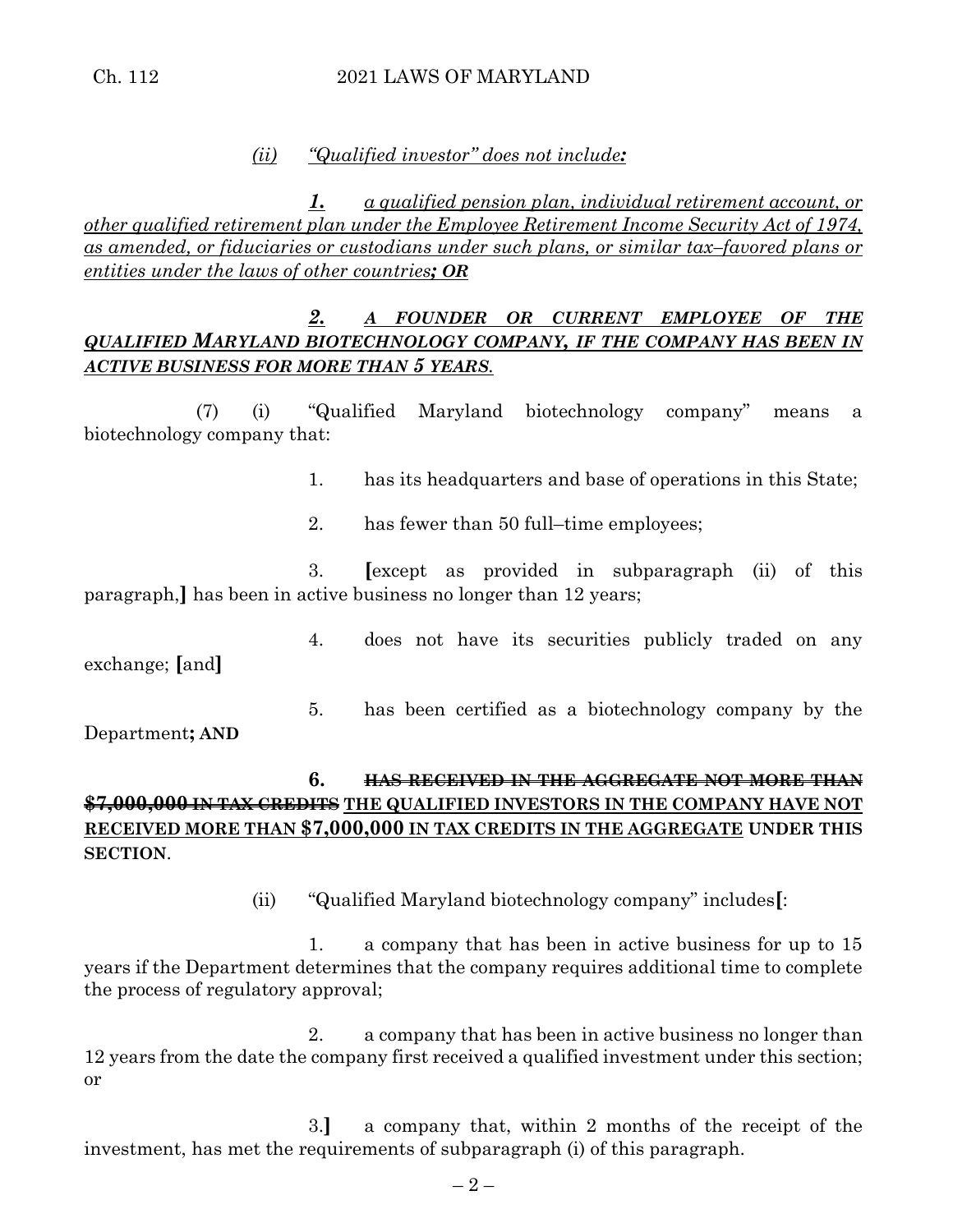### Ch. 112 2021 LAWS OF MARYLAND

#### *(ii) "Qualified investor" does not include:*

*1. a qualified pension plan, individual retirement account, or other qualified retirement plan under the Employee Retirement Income Security Act of 1974, as amended, or fiduciaries or custodians under such plans, or similar tax–favored plans or entities under the laws of other countries; OR*

## *2. A FOUNDER OR CURRENT EMPLOYEE OF THE QUALIFIED MARYLAND BIOTECHNOLOGY COMPANY, IF THE COMPANY HAS BEEN IN ACTIVE BUSINESS FOR MORE THAN 5 YEARS.*

(7) (i) "Qualified Maryland biotechnology company" means a biotechnology company that:

1. has its headquarters and base of operations in this State;

2. has fewer than 50 full–time employees;

3. **[**except as provided in subparagraph (ii) of this paragraph,**]** has been in active business no longer than 12 years;

4. does not have its securities publicly traded on any exchange; **[**and**]**

5. has been certified as a biotechnology company by the Department**; AND**

**6. HAS RECEIVED IN THE AGGREGATE NOT MORE THAN \$7,000,000 IN TAX CREDITS THE QUALIFIED INVESTORS IN THE COMPANY HAVE NOT RECEIVED MORE THAN \$7,000,000 IN TAX CREDITS IN THE AGGREGATE UNDER THIS SECTION**.

(ii) "Qualified Maryland biotechnology company" includes**[**:

1. a company that has been in active business for up to 15 years if the Department determines that the company requires additional time to complete the process of regulatory approval;

2. a company that has been in active business no longer than 12 years from the date the company first received a qualified investment under this section; or

3.**]** a company that, within 2 months of the receipt of the investment, has met the requirements of subparagraph (i) of this paragraph.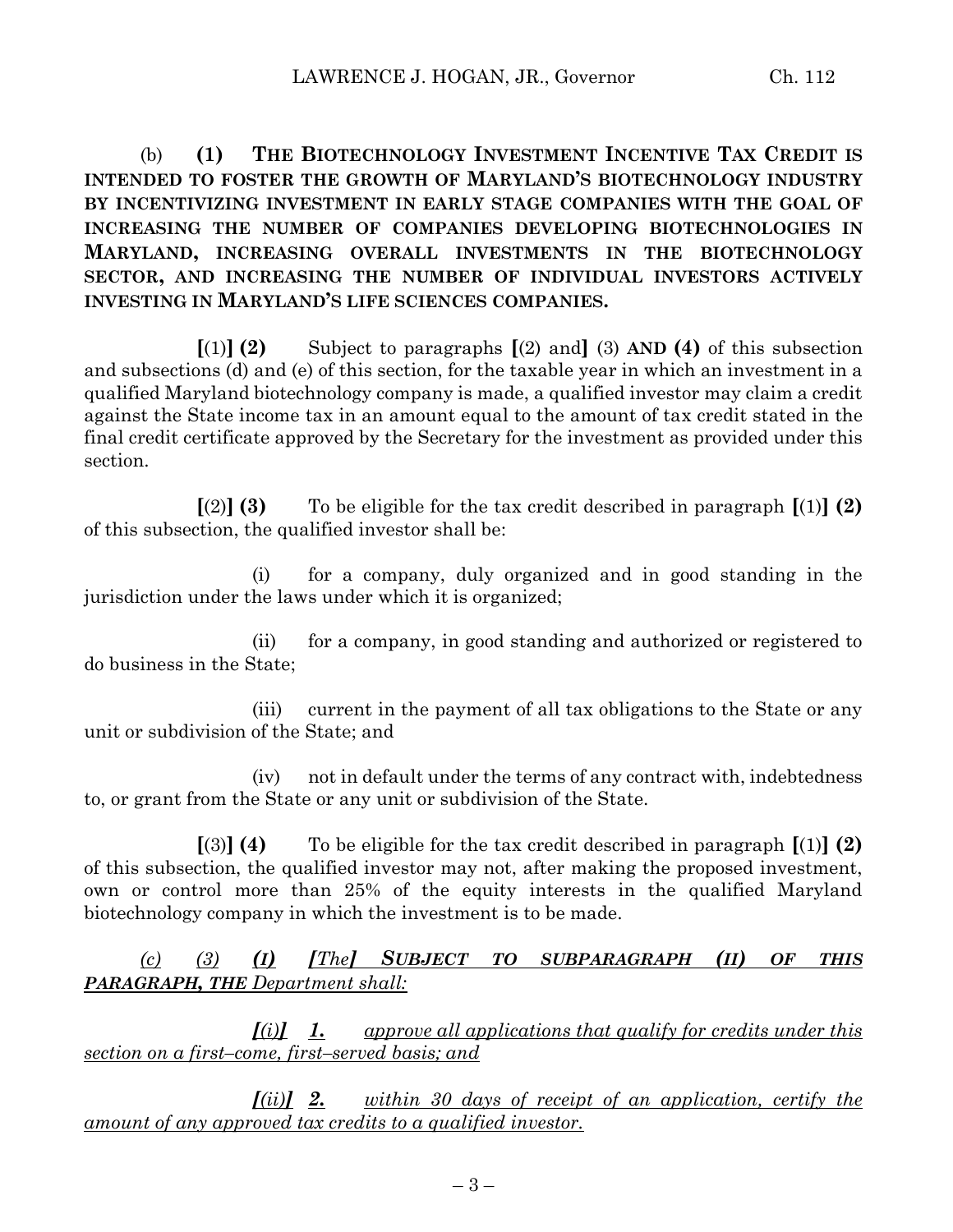(b) **(1) THE BIOTECHNOLOGY INVESTMENT INCENTIVE TAX CREDIT IS INTENDED TO FOSTER THE GROWTH OF MARYLAND'S BIOTECHNOLOGY INDUSTRY BY INCENTIVIZING INVESTMENT IN EARLY STAGE COMPANIES WITH THE GOAL OF INCREASING THE NUMBER OF COMPANIES DEVELOPING BIOTECHNOLOGIES IN MARYLAND, INCREASING OVERALL INVESTMENTS IN THE BIOTECHNOLOGY SECTOR, AND INCREASING THE NUMBER OF INDIVIDUAL INVESTORS ACTIVELY INVESTING IN MARYLAND'S LIFE SCIENCES COMPANIES.**

**[**(1)**] (2)** Subject to paragraphs **[**(2) and**]** (3) **AND (4)** of this subsection and subsections (d) and (e) of this section, for the taxable year in which an investment in a qualified Maryland biotechnology company is made, a qualified investor may claim a credit against the State income tax in an amount equal to the amount of tax credit stated in the final credit certificate approved by the Secretary for the investment as provided under this section.

**[**(2)**] (3)** To be eligible for the tax credit described in paragraph **[**(1)**] (2)** of this subsection, the qualified investor shall be:

(i) for a company, duly organized and in good standing in the jurisdiction under the laws under which it is organized;

(ii) for a company, in good standing and authorized or registered to do business in the State;

(iii) current in the payment of all tax obligations to the State or any unit or subdivision of the State; and

(iv) not in default under the terms of any contract with, indebtedness to, or grant from the State or any unit or subdivision of the State.

**[**(3)**] (4)** To be eligible for the tax credit described in paragraph **[**(1)**] (2)** of this subsection, the qualified investor may not, after making the proposed investment, own or control more than 25% of the equity interests in the qualified Maryland biotechnology company in which the investment is to be made.

*(c) (3) (I) [The] SUBJECT TO SUBPARAGRAPH (II) OF THIS PARAGRAPH, THE Department shall:*

*[(i)] 1. approve all applications that qualify for credits under this section on a first–come, first–served basis; and*

*[(ii)] 2. within 30 days of receipt of an application, certify the amount of any approved tax credits to a qualified investor.*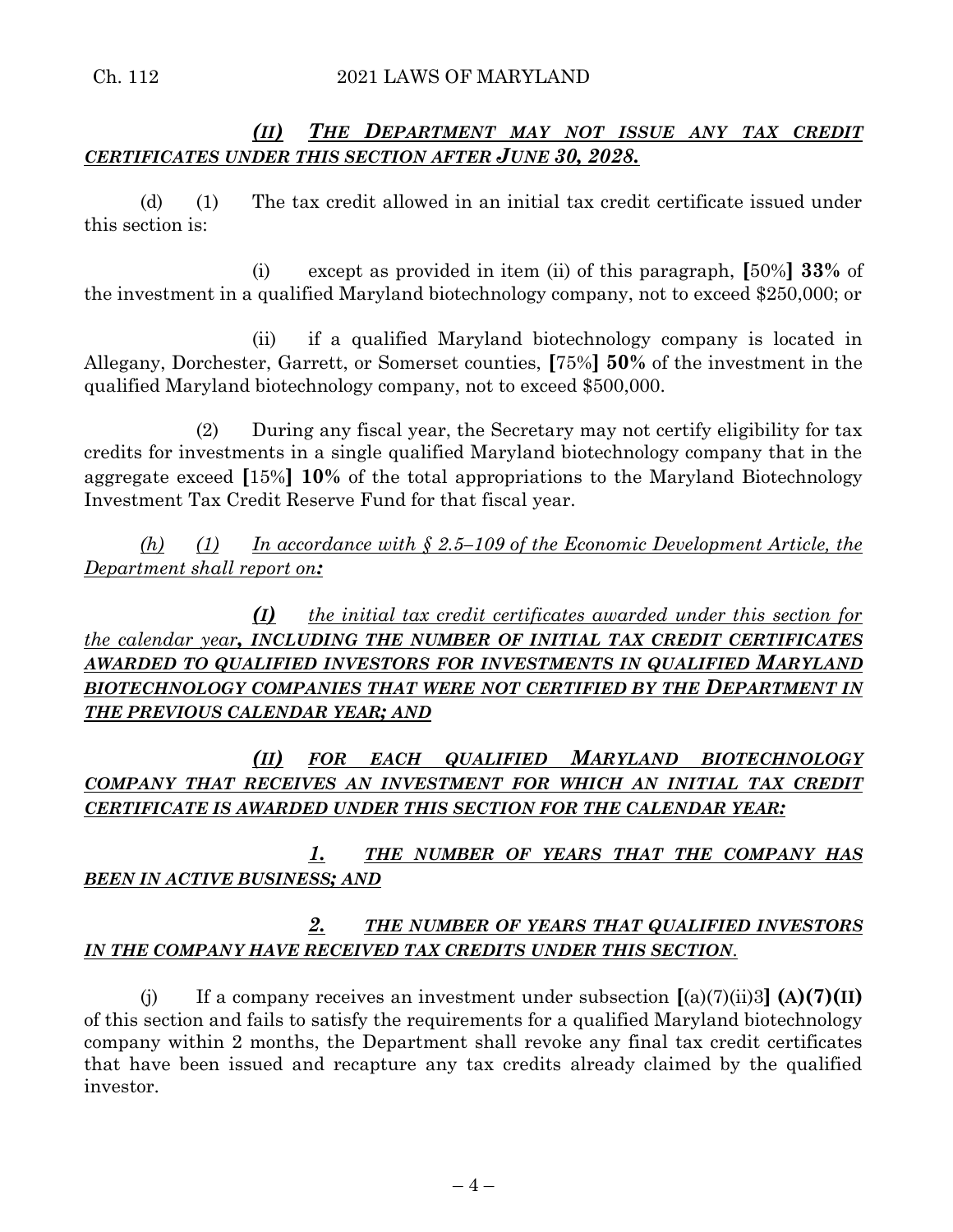# *(II) THE DEPARTMENT MAY NOT ISSUE ANY TAX CREDIT CERTIFICATES UNDER THIS SECTION AFTER JUNE 30, 2028.*

(d) (1) The tax credit allowed in an initial tax credit certificate issued under this section is:

(i) except as provided in item (ii) of this paragraph, **[**50%**] 33%** of the investment in a qualified Maryland biotechnology company, not to exceed \$250,000; or

(ii) if a qualified Maryland biotechnology company is located in Allegany, Dorchester, Garrett, or Somerset counties, **[**75%**] 50%** of the investment in the qualified Maryland biotechnology company, not to exceed \$500,000.

(2) During any fiscal year, the Secretary may not certify eligibility for tax credits for investments in a single qualified Maryland biotechnology company that in the aggregate exceed **[**15%**] 10%** of the total appropriations to the Maryland Biotechnology Investment Tax Credit Reserve Fund for that fiscal year.

*(h) (1) In accordance with § 2.5–109 of the Economic Development Article, the Department shall report on:*

*(I) the initial tax credit certificates awarded under this section for the calendar year, INCLUDING THE NUMBER OF INITIAL TAX CREDIT CERTIFICATES AWARDED TO QUALIFIED INVESTORS FOR INVESTMENTS IN QUALIFIED MARYLAND*  **BIOTECHNOLOGY COMPANIES THAT WERE NOT CERTIFIED BY THE DEPARTMENT IN** *THE PREVIOUS CALENDAR YEAR; AND*

*(II) FOR EACH QUALIFIED MARYLAND BIOTECHNOLOGY COMPANY THAT RECEIVES AN INVESTMENT FOR WHICH AN INITIAL TAX CREDIT CERTIFICATE IS AWARDED UNDER THIS SECTION FOR THE CALENDAR YEAR:*

*1. THE NUMBER OF YEARS THAT THE COMPANY HAS BEEN IN ACTIVE BUSINESS; AND*

## *2. THE NUMBER OF YEARS THAT QUALIFIED INVESTORS IN THE COMPANY HAVE RECEIVED TAX CREDITS UNDER THIS SECTION.*

(i) If a company receives an investment under subsection  $[(a)(7)(ii)3]$   $(A)(7)(II)$ of this section and fails to satisfy the requirements for a qualified Maryland biotechnology company within 2 months, the Department shall revoke any final tax credit certificates that have been issued and recapture any tax credits already claimed by the qualified investor.